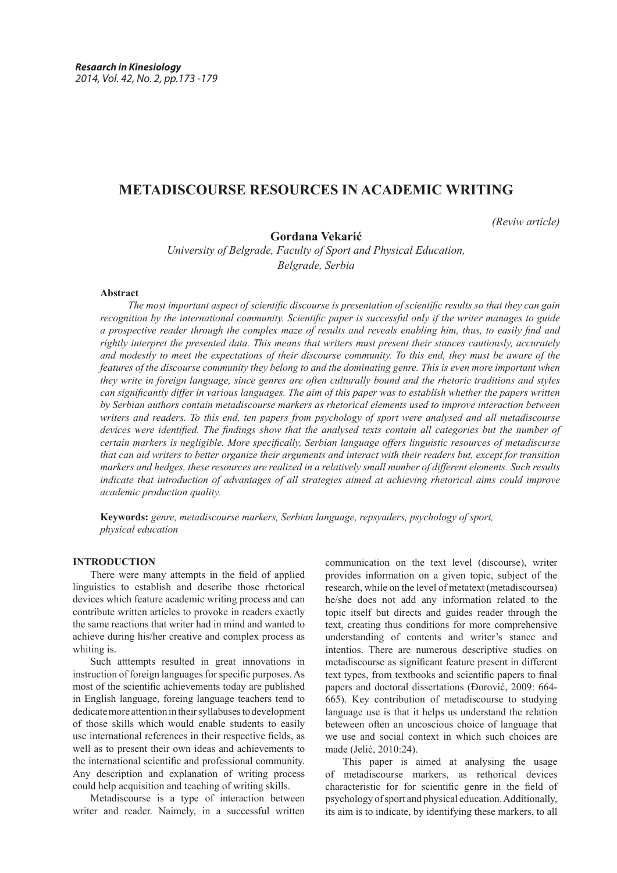# **METADISCOURSE RESOURCES IN ACADEMIC WRITING**

*(Reviw article)*

**Gordana Vekarić**

*University of Belgrade, Faculty of Sport and Physical Education, Belgrade, Serbia*

# **Abstract**

*The most important aspect of scientific discourse is presentation of scientific results so that they can gain recognition by the international community. Scientific paper is successful only if the writer manages to guide a prospective reader through the complex maze of results and reveals enabling him, thus, to easily find and rightly interpret the presented data. This means that writers must present their stances cautiously, accurately and modestly to meet the expectations of their discourse community. To this end, they must be aware of the features of the discourse community they belong to and the dominating genre. This is even more important when they write in foreign language, since genres are often culturally bound and the rhetoric traditions and styles can significantly differ in various languages. The aim of this paper was to establish whether the papers written by Serbian authors contain metadiscourse markers as rhetorical elements used to improve interaction between writers and readers. To this end, ten papers from psychology of sport were analysed and all metadiscourse devices were identified. The findings show that the analysed texts contain all categories but the number of certain markers is negligible. More specifically, Serbian language offers linguistic resources of metadiscurse that can aid writers to better organize their arguments and interact with their readers but, except for transition markers and hedges, these resources are realized in a relatively small number of different elements. Such results indicate that introduction of advantages of all strategies aimed at achieving rhetorical aims could improve academic production quality.*

**Keywords:** *genre, metadiscourse markers, Serbian language, repsyaders, psychology of sport, physical education*

# **INTRODUCTION**

There were many attempts in the field of applied linguistics to establish and describe those rhetorical devices which feature academic writing process and can contribute written articles to provoke in readers exactly the same reactions that writer had in mind and wanted to achieve during his/her creative and complex process as whiting is.

Such atttempts resulted in great innovations in instruction of foreign languages for specific purposes. As most of the scientific achievements today are published in English language, foreing language teachers tend to dedicate more attention in their syllabuses to development of those skills which would enable students to easily use international references in their respective fields, as well as to present their own ideas and achievements to the international scientific and professional community. Any description and explanation of writing process could help acquisition and teaching of writing skills.

Metadiscourse is a type of interaction between writer and reader. Naimely, in a successful written

communication on the text level (discourse), writer provides information on a given topic, subject of the research, while on the level of metatext (metadiscourseа) he/she does not add any information related to the topic itself but directs and guides reader through the text, creating thus conditions for more comprehensive understanding of contents and writer's stance and intentios. There are numerous descriptive studies on metadiscourse as significant feature present in different text types, from textbooks and scientific papers to final papers and doctoral dissertations (Đorović, 2009: 664- 665). Key contribution of metadiscourse to studying language use is that it helps us understand the relation beteween often an uncoscious choice of language that we use and social context in which such choices are made (Jelić, 2010:24).

This paper is aimed at analysing the usage of metadiscourse markers, as rethorical devices characteristic for for scientific genre in the field of psychology of sport and physical education. Additionally, its aim is to indicate, by identifying these markers, to all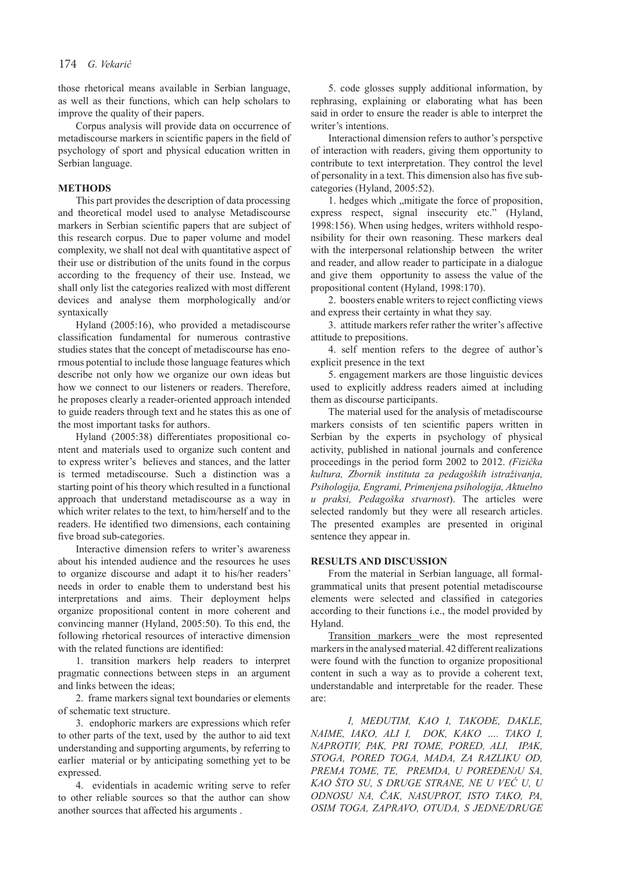those rhetorical means available in Serbian language, as well as their functions, which can help scholars to improve the quality of their papers.

Corpus analysis will provide data on occurrence of metadiscourse markers in scientific papers in the field of psychology of sport and physical education written in Serbian language.

# **METHODS**

This part provides the description of data processing and theoretical model used to analyse Metadiscourse markers in Serbian scientific papers that are subject of this research corpus. Due to paper volume and model complexity, we shall not deal with quantitative aspect of their use or distribution of the units found in the corpus according to the frequency of their use. Instead, we shall only list the categories realized with most different devices and analyse them morphologically and/or syntaxically

Hyland (2005:16), who provided a metadiscourse classification fundamental for numerous contrastive studies states that the concept of metadiscourse has enormous potential to include those language features which describe not only how we organize our own ideas but how we connect to our listeners or readers. Therefore, he proposes clearly a reader-oriented approach intended to guide readers through text and he states this as one of the most important tasks for authors.

Hyland (2005:38) differentiates propositional content and materials used to organize such content and to express writer's believes and stances, and the latter is termed metadiscourse. Such a distinction was a starting point of his theory which resulted in a functional approach that understand metadiscourse as a way in which writer relates to the text, to him/herself and to the readers. He identified two dimensions, each containing five broad sub-categories.

Interactive dimension refers to writer's awareness about his intended audience and the resources he uses to organize discourse and adapt it to his/her readers' needs in order to enable them to understand best his interpretations and aims. Their deployment helps organize propositional content in more coherent and convincing manner (Hyland, 2005:50). To this end, the following rhetorical resources of interactive dimension with the related functions are identified:

1. transition markers help readers to interpret pragmatic connections between steps in an argument and links between the ideas;

2. frame markers signal text boundaries or elements of schematic text structure.

3. endophoric markers are expressions which refer to other parts of the text, used by the author to aid text understanding and supporting arguments, by referring to earlier material or by anticipating something yet to be expressed.

4. evidentials in academic writing serve to refer to other reliable sources so that the author can show another sources that affected his arguments .

5. code glosses supply additional information, by rephrasing, explaining or elaborating what has been said in order to ensure the reader is able to interpret the writer's intentions.

Interactional dimension refers to author's perspctive of interaction with readers, giving them opportunity to contribute to text interpretation. They control the level of personality in a text. This dimension also has five subcategories (Hyland, 2005:52).

1. hedges which "mitigate the force of proposition, express respect, signal insecurity etc." (Hyland, 1998:156). When using hedges, writers withhold responsibility for their own reasoning. These markers deal with the interpersonal relationship between the writer and reader, and allow reader to participate in a dialogue and give them opportunity to assess the value of the propositional content (Hyland, 1998:170).

2. boosters enable writers to reject conflicting views and express their certainty in what they say.

3. attitude markers refer rather the writer's affective attitude to prepositions.

4. self mention refers to the degree of author's explicit presence in the text

5. engagement markers are those linguistic devices used to explicitly address readers aimed at including them as discourse participants.

The material used for the analysis of metadiscourse markers consists of ten scientific papers written in Serbian by the experts in psychology of physical activity, published in national journals and conference proceedings in the period form 2002 to 2012. *(Fizička kultura, Zbornik instituta za pedagoških istraživanja, Psihologija, Engrami, Primenjena psihologija, Aktuelno u praksi, Pedagoška stvarnost*). The articles were selected randomly but they were all research articles. The presented examples are presented in original sentence they appear in.

#### **RESULTS AND DISCUSSION**

From the material in Serbian language, all formalgrammatical units that present potential metadiscourse elements were selected and classified in categories according to their functions i.e., the model provided by Hyland.

Transition markers were the most represented markers in the analysed material. 42 different realizations were found with the function to organize propositional content in such a way as to provide a coherent text, understandable and interpretable for the reader. These are:

*I, MEĐUTIM, KAO I, TAKOĐE, DAKLE, NAIME, IAKO, ALI I, DOK, KAKO …. TAKO I, NAPROTIV, PAK, PRI TOME, PORED, ALI, IPAK, STOGA, PORED TOGA, MADA, ZA RAZLIKU OD, PREMA TOME, TE, PREMDA, U POREĐENjU SA, KAO ŠTO SU, S DRUGE STRANE, NE U VEĆ U, U ODNOSU NA, ČAK, NASUPROT, ISTO TAKO, PA, OSIM TOGA, ZAPRAVO, OTUDA, S JEDNE/DRUGE*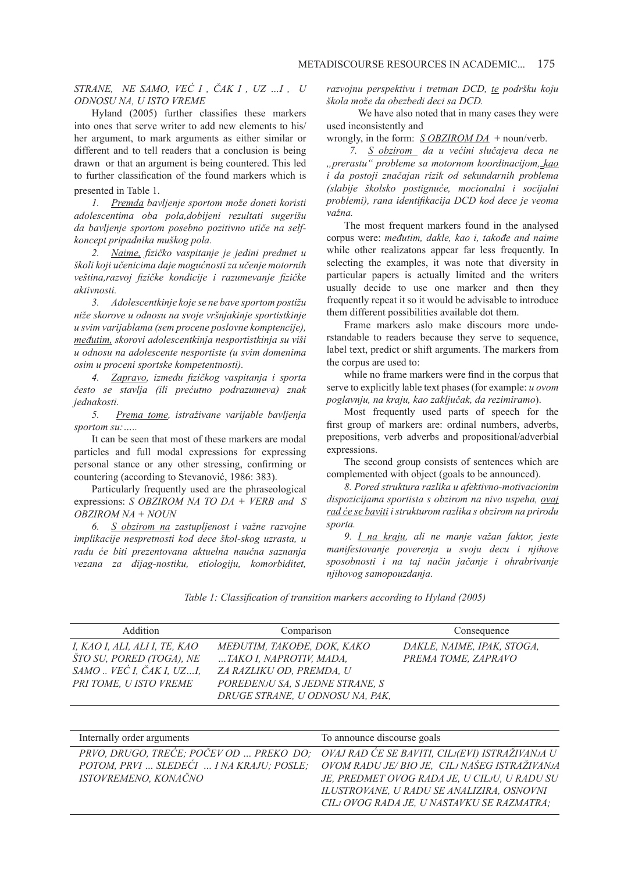*STRANE, NE SAMO, VEĆ I , ČAK I , UZ …I , U ODNOSU NA, U ISTO VREME*

Hyland (2005) further classifies these markers into ones that serve writer to add new elements to his/ her argument, to mark arguments as either similar or different and to tell readers that a conclusion is being drawn or that an argument is being countered. This led to further classification of the found markers which is presented in Table 1.

*1. Premda bavljenje sportom može doneti koristi adolescentima oba pola,dobijeni rezultati sugerišu da bavljenje sportom posebno pozitivno utiče na selfkoncept pripadnika muškog pola.*

*2. Naime, fizičko vaspitanje je jedini predmet u školi koji učenicima daje mogućnosti za učenje motornih veština,razvoj fizičke kondicije i razumevanje fizičke aktivnosti.* 

*3. Adolescentkinje koje se ne bave sportom postižu niže skorove u odnosu na svoje vršnjakinje sportistkinje u svim varijablama (sem procene poslovne komptencije), međutim, skorovi adolescentkinja nesportistkinja su viši u odnosu na adolescente nesportiste (u svim domenima osim u proceni sportske kompetentnosti).*

*4. Zapravo, između fizičkog vaspitanja i sporta često se stavlja (ili prećutno podrazumeva) znak jednakosti.*

*5. Prema tome, istraživane varijable bavljenja sportom su:…..*

It can be seen that most of these markers are modal particles and full modal expressions for expressing personal stance or any other stressing, confirming or countering (according to Stevanović, 1986: 383).

Particularly frequently used are the phraseological expressions: *S OBZIROM NA TO DA + VERB and S OBZIROM NA + NOUN*

*6. S obzirom na zastupljenost i važne razvojne implikacije nespretnosti kod dece škol-skog uzrasta, u radu će biti prezentovana aktuelna naučna saznanja vezana za dijag-nostiku, etiologiju, komorbiditet,* 

*razvojnu perspektivu i tretman DCD, te podršku koju škola može da obezbedi deci sa DCD.* 

We have also noted that in many cases they were used inconsistently and

wrongly, in the form: *S OBZIROM DA* + noun/verb.

*7. S obzirom da u većini slučajeva deca ne "prerastu" probleme sa motornom koordinacijom, kao i da postoji značajan rizik od sekundarnih problema (slabije školsko postignuće, mocionalni i socijalni problemi), rana identifikacija DCD kod dece je veoma važna.*

The most frequent markers found in the analysed corpus were: *međutim, dakle, kao i, takođe and naime*  while other realizatons appear far less frequently. In selecting the examples, it was note that diversity in particular papers is actually limited and the writers usually decide to use one marker and then they frequently repeat it so it would be advisable to introduce them different possibilities available dot them.

Frame markers aslo make discours more understandable to readers because they serve to sequence, label text, predict or shift arguments. The markers from the corpus are used to:

while no frame markers were find in the corpus that serve to explicitly lable text phases (for example: *u ovom poglavnju, na kraju, kao zaključak, da rezimiramo*).

Most frequently used parts of speech for the first group of markers are: ordinal numbers, adverbs, prepositions, verb adverbs and propositional/adverbial expressions.

The second group consists of sentences which are complemented with object (goals to be announced).

*8. Pored struktura razlika u afektivno-motivacionim dispozicijama sportista s obzirom na nivo uspeha, ovaj rad će se baviti i strukturom razlika s obzirom na prirodu sporta.*

*9. I na kraju, ali ne manje važan faktor, jeste manifestovanje poverenja u svoju decu i njihove sposobnosti i na taj način jačanje i ohrabrivanje njihovog samopouzdanja.*

*Table 1: Classification of transition markers according to Hyland (2005)*

| Addition                                             | Comparison                                          | Consequence                |
|------------------------------------------------------|-----------------------------------------------------|----------------------------|
| I, KAO I, ALI, ALI I, TE, KAO                        | MEĐUTIM, TAKOĐE, DOK, KAKO                          | DAKLE, NAIME, IPAK, STOGA, |
| ŠTO SU, PORED (TOGA), NE<br>SAMO  VEĆ I, ČAK I, UZI, | TAKO I, NAPROTIV, MADA,<br>ZA RAZLIKU OD, PREMDA, U | PREMA TOME, ZAPRAVO        |
| PRI TOME, U ISTO VREME                               | POREĐENJU SA, S JEDNE STRANE, S                     |                            |
|                                                      | DRUGE STRANE, U ODNOSU NA, PAK,                     |                            |

| Internally order arguments | To announce discourse goals                                                             |
|----------------------------|-----------------------------------------------------------------------------------------|
|                            | PRVO, DRUGO, TREĆE; POČEV OD  PREKO DO; OVAJ RAD ĆE SE BAVITI, CILJ(EVI) ISTRAŽIVANJA U |
|                            | POTOM, PRVI  SLEDEĆI  I NA KRAJU; POSLE; OVOM RADU JE/ BIO JE, CILJ NAŠEG ISTRAŽIVANJA  |
| ISTOVREMENO, KONAČNO       | JE, PREDMET OVOG RADA JE, U CILJU, U RADU SU                                            |
|                            | ILUSTROVANE, U RADU SE ANALIZIRA, OSNOVNI                                               |
|                            | CILJ OVOG RADA JE, U NASTAVKU SE RAZMATRA;                                              |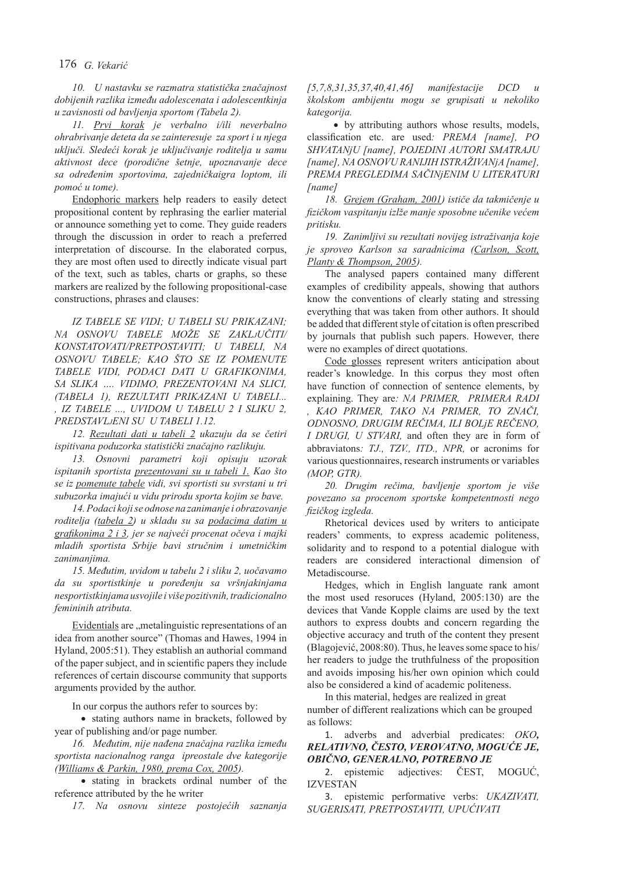# 176 *G. Vekarić*

*10. U nastavku se razmatra statistička značajnost dobijenih razlika između adolescenata i adolescentkinja u zavisnosti od bavljenja sportom (Tabela 2).* 

*11. Prvi korak je verbalno i/ili neverbalno ohrabrivanje deteta da se zainteresuje za sport i u njega uključi. Sledeći korak je uključivanje roditelja u samu aktivnost dece (porodične šetnje, upoznavanje dece sa određenim sportovima, zajedničkaigra loptom, ili pomoć u tome).*

Endophoric markers help readers to easily detect propositional content by rephrasing the earlier material or announce something yet to come. They guide readers through the discussion in order to reach a preferred interpretation of discourse. In the elaborated corpus, they are most often used to directly indicate visual part of the text, such as tables, charts or graphs, so these markers are realized by the following propositional-case constructions, phrases and clauses:

*IZ TABELE SE VIDI; U TABELI SU PRIKAZANI; NA OSNOVU TABELE MOŽE SE ZAKLjUČITI/ KONSTATOVATI/PRETPOSTAVITI; U TABELI, NA OSNOVU TABELE; KAO ŠTO SE IZ POMENUTE TABELE VIDI, PODACI DATI U GRAFIKONIMA, SA SLIKA …. VIDIMO, PREZENTOVANI NA SLICI, (TABELA 1), REZULTATI PRIKAZANI U TABELI... , IZ TABELE ..., UVIDOM U TABELU 2 I SLIKU 2, PREDSTAVLjENI SU U TABELI 1.12.* 

*12. Rezultati dati u tabeli 2 ukazuju da se četiri ispitivana poduzorka statistički značajno razlikuju.* 

*13. Osnovni parametri koji opisuju uzorak ispitanih sportista prezentovani su u tabeli 1. Kao što se iz pomenute tabele vidi, svi sportisti su svrstani u tri subuzorka imajući u vidu prirodu sporta kojim se bave.*

*14. Podaci koji se odnose na zanimanje i obrazovanje roditelja (tabela 2) u skladu su sa podacima datim u grafikonima 2 i 3, jer se najveći procenat očeva i majki mladih sportista Srbije bavi stručnim i umetničkim zanimanjima.*

*15. Međutim, uvidom u tabelu 2 i sliku 2, uočavamo da su sportistkinje u poređenju sa vršnjakinjama nesportistkinjama usvojile i više pozitivnih, tradicionalno femininih atributa.* 

Evidentials are "metalinguistic representations of an idea from another source" (Thomas and Hawes, 1994 in Hyland, 2005:51). They establish an authorial command of the paper subject, and in scientific papers they include references of certain discourse community that supports arguments provided by the author.

In our corpus the authors refer to sources by:

• stating authors name in brackets, followed by year of publishing and/or page number.

*16. Međutim, nije nađena značajna razlika između sportista nacionalnog ranga ipreostale dve kategorije (Williams & Parkin, 1980, prema Cox, 2005).*

• stating in brackets ordinal number of the reference attributed by the he writer

*17. Na osnovu sinteze postojećih saznanja* 

*[5,7,8,31,35,37,40,41,46] manifestacije DCD u školskom ambijentu mogu se grupisati u nekoliko kategorija.* 

• by attributing authors whose results, models, classification etc. are used*: PREMA [name], PO SHVATANjU [name], POJEDINI AUTORI SMATRAJU [name], NA OSNOVU RANIJIH ISTRAŽIVANjA [name], PREMA PREGLEDIMA SAČINjENIM U LITERATURI [name]*

*18. Grejem (Graham, 2001) ističe da takmičenje u fizičkom vaspitanju izlže manje sposobne učenike većem pritisku.*

*19. Zanimljivi su rezultati novijeg istraživanja koje je sproveo Karlson sa saradnicima (Carlson, Scott, Planty & Thompson, 2005).*

The analysed papers contained many different examples of credibility appeals, showing that authors know the conventions of clearly stating and stressing everything that was taken from other authors. It should be added that different style of citation is often prescribed by journals that publish such papers. However, there were no examples of direct quotations.

Code glosses represent writers anticipation about reader's knowledge. In this corpus they most often have function of connection of sentence elements, by explaining. They are*: NA PRIMER, PRIMERA RADI , KAO PRIMER, TAKO NA PRIMER, TO ZNAČI, ODNOSNO, DRUGIM REČIMA, ILI BOLjE REČENO, I DRUGI, U STVARI,* and often they are in form of abbraviatons*: TJ., TZV., ITD., NPR,* or acronims for various questionnaires, research instruments or variables *(MOP, GTR).*

*20. Drugim rečima, bavljenje sportom je više povezano sa procenom sportske kompetentnosti nego fizičkog izgleda.*

Rhetorical devices used by writers to anticipate readers' comments, to express academic politeness, solidarity and to respond to a potential dialogue with readers are considered interactional dimension of Metadiscourse.

Hedges, which in English languate rank amont the most used resoruces (Hyland, 2005:130) are the devices that Vande Kopple claims are used by the text authors to express doubts and concern regarding the objective accuracy and truth of the content they present (Blagojević, 2008:80). Thus, he leaves some space to his/ her readers to judge the truthfulness of the proposition and avoids imposing his/her own opinion which could also be considered a kind of academic politeness.

In this material, hedges are realized in great number of different realizations which can be grouped as follows:

1. adverbs and adverbial predicates: *OKO, RELATIVNO, ČESTO, VEROVATNO, MOGUĆE JE, OBIČNO, GENERALNO, POTREBNO JE*

2. epistemic adjectives: ČEST, MOGUĆ, IZVESTAN

3. epistemic performative verbs: *UKAZIVATI, SUGERISATI, PRETPOSTAVITI, UPUĆIVATI*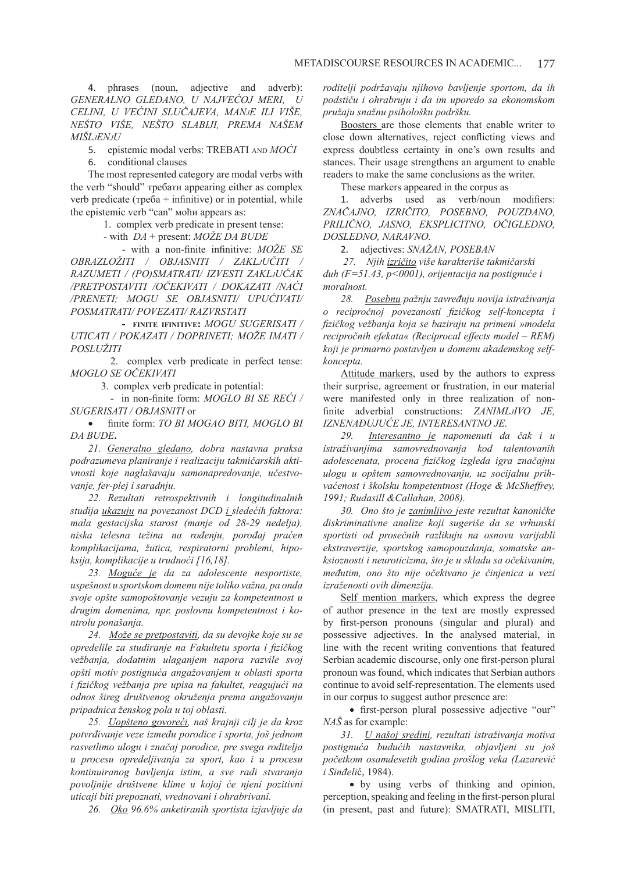4. phrases (noun, adjective and adverb): *GENERALNO GLEDANO, U NAJVEĆOJ MERI, U CELINI, U VEĆINI SLUČAJEVA, MANjE ILI VIŠE, NEŠTO VIŠE, NEŠTO SLABIJI, PREMA NAŠEM MIŠLjENjU*

5. epistemic modal verbs: ТREBATI and *MOĆI*

6. conditional clauses

The most represented category are modal verbs with the verb "should" требати appearing either as complex verb predicate ( $\tau$ pe $\delta a$  + infinitive) or in potential, while the epistemic verb "can" моћи appears as:

1. complex verb predicate in present tense:

- with *DA* + present: *MOŽE DA BUDE*

 - with a non-finite infinitive: *MOŽE SE OBRAZLOŽITI / OBJASNITI / ZAKLjUČITI / RAZUMETI / (PO)SMATRATI/ IZVESTI ZAKLjUČAK /PRETPOSTAVITI /OČEKIVATI / DOKAZATI /NAĆI /PRENETI; MOGU SE OBJASNITI/ UPUĆIVATI/ POSMATRATI/ POVEZATI/ RAZVRSTATI*

 **- finite ifinitive:** *MOGU SUGERISATI / UTICATI / POKAZATI / DOPRINETI; MOŽE IMATI / POSLUŽITI*

 2. complex verb predicate in perfect tense: *MOGLO SE OČEKIVATI*

3. complex verb predicate in potential:

 - in non-finite form: *MOGLO BI SE REĆI / SUGERISATI / OBJASNITI* or

• finite form: *TO BI MOGAO BITI, MOGLO BI DA BUDE***.** 

*21. Generalno gledano, dobra nastavna praksa podrazumeva planiranje i realizaciju takmičarskih aktivnosti koje naglašavaju samonapredovanje, učestvovanje, fer-plej i saradnju.* 

*22. Rezultati retrospektivnih i longitudinalnih studija ukazuju na povezanost DCD i sledećih faktora: mala gestacijska starost (manje od 28-29 nedelja), niska telesna težina na rođenju, porođaj praćen komplikacijama, žutica, respiratorni problemi, hipoksija, komplikacije u trudnoći [16,18].*

*23. Moguće je da za adolescente nesportiste, uspešnost u sportskom domenu nije toliko važna, pa onda svoje opšte samopoštovanje vezuju za kompetentnost u drugim domenima, npr. poslovnu kompetentnost i kontrolu ponašanja.*

*24. Može se pretpostaviti, da su devojke koje su se opredelile za studiranje na Fakultetu sporta i fizičkog vežbanja, dodatnim ulaganjem napora razvile svoj opšti motiv postignuća angažovanjem u oblasti sporta i fizičkog vežbanja pre upisa na fakultet, reagujući na odnos šireg društvenog okruženja prema angažovanju pripadnica ženskog pola u toj oblasti.*

*25. Uopšteno govoreći, naš krajnji cilj je da kroz potvrđivanje veze između porodice i sporta, još jednom rasvetlimo ulogu i značaj porodice, pre svega roditelja u procesu opredeljivanja za sport, kao i u procesu kontinuiranog bavljenja istim, a sve radi stvaranja povoljnije društvene klime u kojoj će njeni pozitivni uticaji biti prepoznati, vrednovani i ohrabrivani.*

*26. Oko 96.6% anketiranih sportista izjavljuje da* 

*roditelji podržavaju njihovo bavljenje sportom, da ih podstiču i ohrabruju i da im uporedo sa ekonomskom pružaju snažnu psihološku podršku.*

Boosters are those elements that enable writer to close down alternatives, reject conflicting views and express doubtless certainty in one's own results and stances. Their usage strengthens an argument to enable readers to make the same conclusions as the writer.

These markers appeared in the corpus as

1. adverbs used as verb/noun modifiers: *ZNAČAJNO, IZRIČITO, POSEBNO, POUZDANO, PRILIČNO, JASNO, EKSPLICITNO, OČIGLEDNO, DOSLEDNO, NARAVNO.*

2. adjectives: *SNAŽAN, POSEBAN*

*27. Njih izričito više karakteriše takmičarski duh (F=51.43, p<0001), orijentacija na postignuće i moralnost.* 

*28. Posebnu pažnju zavređuju novija istraživanja o recipročnoj povezanosti fizičkog self-koncepta i fizičkog vežbanja koja se baziraju na primeni »modela recipročnih efekata« (Reciprocal effects model – REM) koji je primarno postavljen u domenu akademskog selfkoncepta.*

Attitude markers, used by the authors to express their surprise, agreement or frustration, in our material were manifested only in three realization of nonfinite adverbial constructions: *ZANIMLjIVO JE, IZNENAĐUJUĆE JE, INTERESANTNO JE.*

*29. Interesantno je napomenuti da čak i u istraživanjima samovrednovanja kod talentovanih adolescenata, procena fizičkog izgleda igra značajnu ulogu u opštem samovrednovanju, uz socijalnu prihvaćenost i školsku kompetentnost (Hoge & McSheffrey, 1991; Rudasill &Callahan, 2008).*

*30. Ono što je zanimljivo jeste rezultat kanoničke diskriminativne analize koji sugeriše da se vrhunski sportisti od prosečnih razlikuju na osnovu varijabli ekstraverzije, sportskog samopouzdanja, somatske anksioznosti i neuroticizma, što je u skladu sa očekivanim, međutim, ono što nije očekivano je činjenica u vezi izraženosti ovih dimenzija.*

Self mention markers, which express the degree of author presence in the text are mostly expressed by first-person pronouns (singular and plural) and possessive adjectives. In the analysed material, in line with the recent writing conventions that featured Serbian academic discourse, only one first-person plural pronoun was found, which indicates that Serbian authors continue to avoid self-representation. The elements used in our corpus to suggest author presence are:

• first-person plural possessive adjective "our" *NAŠ* аs fоr example:

*31. U našoj sredini, rezultati istraživanja motiva postignuća budućih nastavnika, objavljeni su još početkom osamdesetih godina prošlog veka (Lazarević i Sinđeli*ć, 1984).

• by using verbs of thinking and opinion, perception, speaking and feeling in the first-person plural (in present, past and future): SMATRATI, MISLITI,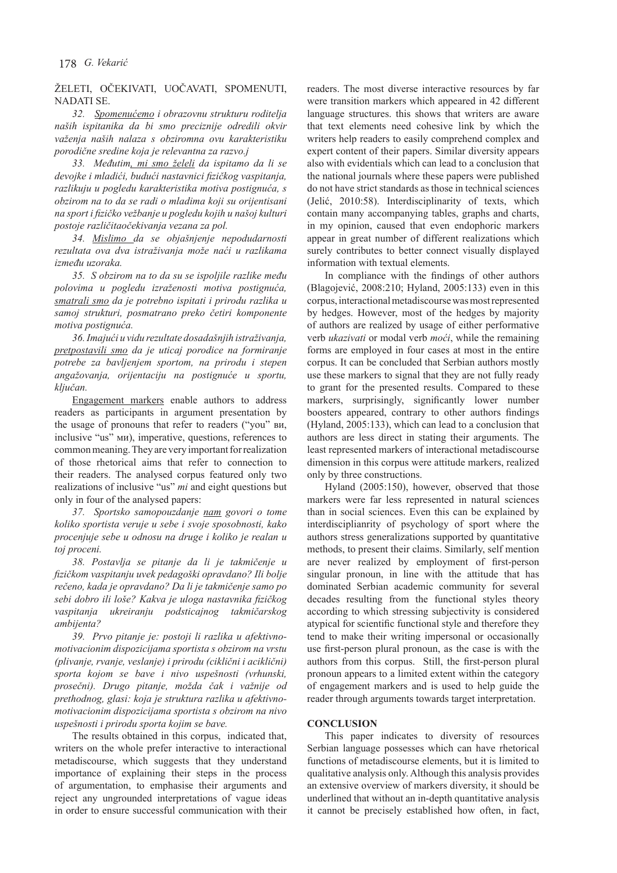# ŽELETI, OČEKIVATI, UOČAVATI, SPOMENUTI, **NADATI SE**

*32. Spomenućemo i obrazovnu strukturu roditelja naših ispitanika da bi smo preciznije odredili okvir važenja naših nalaza s obziromna ovu karakteristiku porodične sredine koja je relevantna za razvo.j*

*33. Međutim, mi smo želeli da ispitamo da li se devojke i mladići, budući nastavnici fizičkog vaspitanja, razlikuju u pogledu karakteristika motiva postignuća, s obzirom na to da se radi o mladima koji su orijentisani na sport i fizičko vežbanje u pogledu kojih u našoj kulturi postoje različitaočekivanja vezana za pol.*

*34. Mislimo da se objašnjenje nepodudarnosti rezultata ova dva istraživanja može naći u razlikama između uzoraka.* 

*35. S obzirom na to da su se ispoljile razlike među polovima u pogledu izraženosti motiva postignuća, smatrali smo da je potrebno ispitati i prirodu razlika u samoj strukturi, posmatrano preko četiri komponente motiva postignuća.* 

*36. Imajući u vidu rezultate dosadašnjih istraživanja, pretpostavili smo da je uticaj porodice na formiranje potrebe za bavljenjem sportom, na prirodu i stepen angažovanja, orijentaciju na postignuće u sportu, ključan.*

Engagement markers enable authors to address readers as participants in argument presentation by the usage of pronouns that refer to readers ("you" ви, inclusive "us" ми), imperative, questions, references to common meaning. They are very important for realization of those rhetorical aims that refer to connection to their readers. The analysed corpus featured only two realizations of inclusive "us" *mi* and eight questions but only in four of the analysed papers:

*37. Sportsko samopouzdanje nam govori o tome koliko sportista veruje u sebe i svoje sposobnosti, kako procenjuje sebe u odnosu na druge i koliko je realan u toj proceni.*

*38. Postavlja se pitanje da li je takmičenje u fizičkom vaspitanju uvek pedagoški opravdano? Ili bolje rečeno, kada je opravdano? Da li je takmičenje samo po sebi dobro ili loše? Kakva je uloga nastavnika fizičkog vaspitanja ukreiranju podsticajnog takmičarskog ambijenta?*

*39. Prvo pitanje je: postoji li razlika u afektivnomotivacionim dispozicijama sportista s obzirom na vrstu (plivanje, rvanje, veslanje) i prirodu (ciklični i aciklični) sporta kojom se bave i nivo uspešnosti (vrhunski, prosečni). Drugo pitanje, možda čak i važnije od prethodnog, glasi: koja je struktura razlika u afektivnomotivacionim dispozicijama sportista s obzirom na nivo uspešnosti i prirodu sporta kojim se bave.*

The results obtained in this corpus, indicated that, writers on the whole prefer interactive to interactional metadiscourse, which suggests that they understand importance of explaining their steps in the process of argumentation, to emphasise their arguments and reject any ungrounded interpretations of vague ideas in order to ensure successful communication with their readers. The most diverse interactive resources by far were transition markers which appeared in 42 different language structures. this shows that writers are aware that text elements need cohesive link by which the writers help readers to easily comprehend complex and expert content of their papers. Similar diversity appears also with evidentials which can lead to a conclusion that the national journals where these papers were published do not have strict standards as those in technical sciences (Jelić, 2010:58). Interdisciplinarity of texts, which contain many accompanying tables, graphs and charts, in my opinion, caused that even endophoric markers appear in great number of different realizations which surely contributes to better connect visually displayed information with textual elements.

In compliance with the findings of other authors (Blagojević, 2008:210; Hyland, 2005:133) even in this corpus, interactional metadiscourse was most represented by hedges. However, most of the hedges by majority of authors are realized by usage of either performative verb *ukazivati* or modal verb *moći*, while the remaining forms are employed in four cases at most in the entire corpus. It can be concluded that Serbian authors mostly use these markers to signal that they are not fully ready to grant for the presented results. Compared to these markers, surprisingly, significantly lower number boosters appeared, contrary to other authors findings (Hyland, 2005:133), which can lead to a conclusion that authors are less direct in stating their arguments. The least represented markers of interactional metadiscourse dimension in this corpus were attitude markers, realized only by three constructions.

Hyland (2005:150), however, observed that those markers were far less represented in natural sciences than in social sciences. Even this can be explained by interdisciplianrity of psychology of sport where the authors stress generalizations supported by quantitative methods, to present their claims. Similarly, self mention are never realized by employment of first-person singular pronoun, in line with the attitude that has dominated Serbian academic community for several decades resulting from the functional styles theory according to which stressing subjectivity is considered atypical for scientific functional style and therefore they tend to make their writing impersonal or occasionally use first-person plural pronoun, as the case is with the authors from this corpus. Still, the first-person plural pronoun appears to a limited extent within the category of engagement markers and is used to help guide the reader through arguments towards target interpretation.

#### **CONCLUSION**

This paper indicates to diversity of resources Serbian language possesses which can have rhetorical functions of metadiscourse elements, but it is limited to qualitative analysis only. Although this analysis provides an extensive overview of markers diversity, it should be underlined that without an in-depth quantitative analysis it cannot be precisely established how often, in fact,